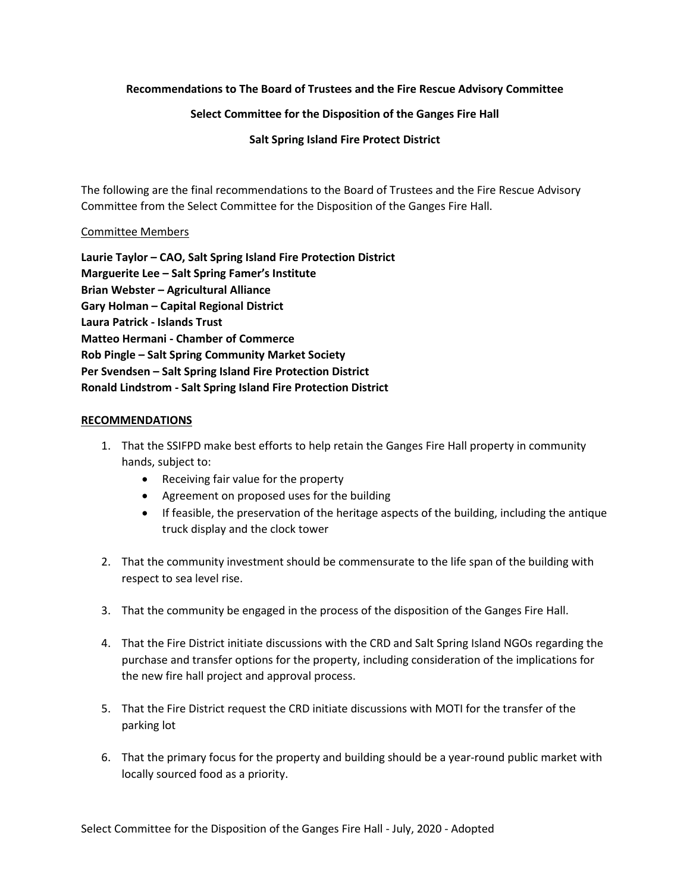## **Recommendations to The Board of Trustees and the Fire Rescue Advisory Committee**

## **Select Committee for the Disposition of the Ganges Fire Hall**

**Salt Spring Island Fire Protect District**

The following are the final recommendations to the Board of Trustees and the Fire Rescue Advisory Committee from the Select Committee for the Disposition of the Ganges Fire Hall.

## Committee Members

**Laurie Taylor – CAO, Salt Spring Island Fire Protection District Marguerite Lee – Salt Spring Famer's Institute Brian Webster – Agricultural Alliance Gary Holman – Capital Regional District Laura Patrick - Islands Trust Matteo Hermani - Chamber of Commerce Rob Pingle – Salt Spring Community Market Society Per Svendsen – Salt Spring Island Fire Protection District Ronald Lindstrom - Salt Spring Island Fire Protection District**

## **RECOMMENDATIONS**

- 1. That the SSIFPD make best efforts to help retain the Ganges Fire Hall property in community hands, subject to:
	- Receiving fair value for the property
	- Agreement on proposed uses for the building
	- If feasible, the preservation of the heritage aspects of the building, including the antique truck display and the clock tower
- 2. That the community investment should be commensurate to the life span of the building with respect to sea level rise.
- 3. That the community be engaged in the process of the disposition of the Ganges Fire Hall.
- 4. That the Fire District initiate discussions with the CRD and Salt Spring Island NGOs regarding the purchase and transfer options for the property, including consideration of the implications for the new fire hall project and approval process.
- 5. That the Fire District request the CRD initiate discussions with MOTI for the transfer of the parking lot
- 6. That the primary focus for the property and building should be a year-round public market with locally sourced food as a priority.